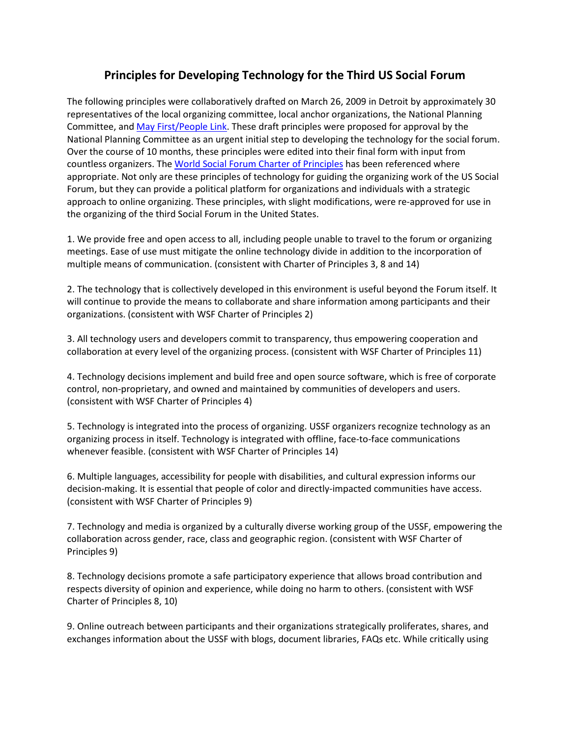## **Principles for Developing Technology for the Third US Social Forum**

The following principles were collaboratively drafted on March 26, 2009 in Detroit by approximately 30 representatives of the local organizing committee, local anchor organizations, the National Planning Committee, an[d May First/People Link.](https://mayfirst.org/) These draft principles were proposed for approval by the National Planning Committee as an urgent initial step to developing the technology for the social forum. Over the course of 10 months, these principles were edited into their final form with input from countless organizers. Th[e World Social Forum Charter of Principles](http://www.forumsocialmundial.org.br/main.php?id_menu=4&cd_language=2) has been referenced where appropriate. Not only are these principles of technology for guiding the organizing work of the US Social Forum, but they can provide a political platform for organizations and individuals with a strategic approach to online organizing. These principles, with slight modifications, were re-approved for use in the organizing of the third Social Forum in the United States.

1. We provide free and open access to all, including people unable to travel to the forum or organizing meetings. Ease of use must mitigate the online technology divide in addition to the incorporation of multiple means of communication. (consistent with Charter of Principles 3, 8 and 14)

2. The technology that is collectively developed in this environment is useful beyond the Forum itself. It will continue to provide the means to collaborate and share information among participants and their organizations. (consistent with WSF Charter of Principles 2)

3. All technology users and developers commit to transparency, thus empowering cooperation and collaboration at every level of the organizing process. (consistent with WSF Charter of Principles 11)

4. Technology decisions implement and build free and open source software, which is free of corporate control, non-proprietary, and owned and maintained by communities of developers and users. (consistent with WSF Charter of Principles 4)

5. Technology is integrated into the process of organizing. USSF organizers recognize technology as an organizing process in itself. Technology is integrated with offline, face-to-face communications whenever feasible. (consistent with WSF Charter of Principles 14)

6. Multiple languages, accessibility for people with disabilities, and cultural expression informs our decision-making. It is essential that people of color and directly-impacted communities have access. (consistent with WSF Charter of Principles 9)

7. Technology and media is organized by a culturally diverse working group of the USSF, empowering the collaboration across gender, race, class and geographic region. (consistent with WSF Charter of Principles 9)

8. Technology decisions promote a safe participatory experience that allows broad contribution and respects diversity of opinion and experience, while doing no harm to others. (consistent with WSF Charter of Principles 8, 10)

9. Online outreach between participants and their organizations strategically proliferates, shares, and exchanges information about the USSF with blogs, document libraries, FAQs etc. While critically using